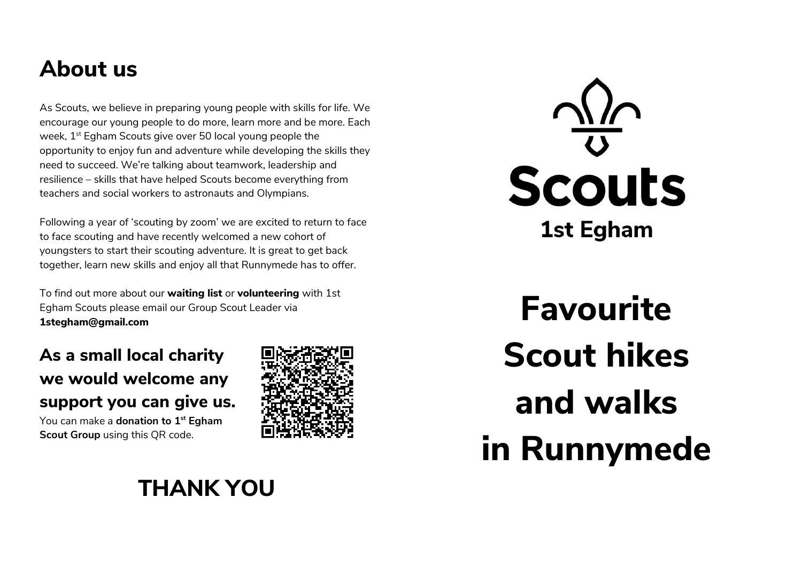## **About us**

As Scouts, we believe in preparing young people with skills for life. We encourage our young people to do more, learn more and be more. Each week, 1<sup>st</sup> Egham Scouts give over 50 local young people the opportunity to enjoy fun and adventure while developing the skills they need to succeed. We're talking about teamwork, leadership and resilience – skills that have helped Scouts become everything from teachers and social workers to astronauts and Olympians.

Following a year of 'scouting by zoom' we are excited to return to face to face scouting and have recently welcomed a new cohort of youngsters to start their scouting adventure. It is great to get back together, learn new skills and enjoy all that Runnymede has to offer.

To find out more about our **waiting list** or **volunteering** with 1st Egham Scouts please email our Group Scout Leader via **1stegham@gmail.com**

## **As a small local charity we would welcome any support you can give us.**

You can make a **donation to 1st Egham Scout Group** using this QR code.



# **Scouts 1st Egham**

**Favourite Scout hikes and walks in Runnymede**

## **THANK YOU**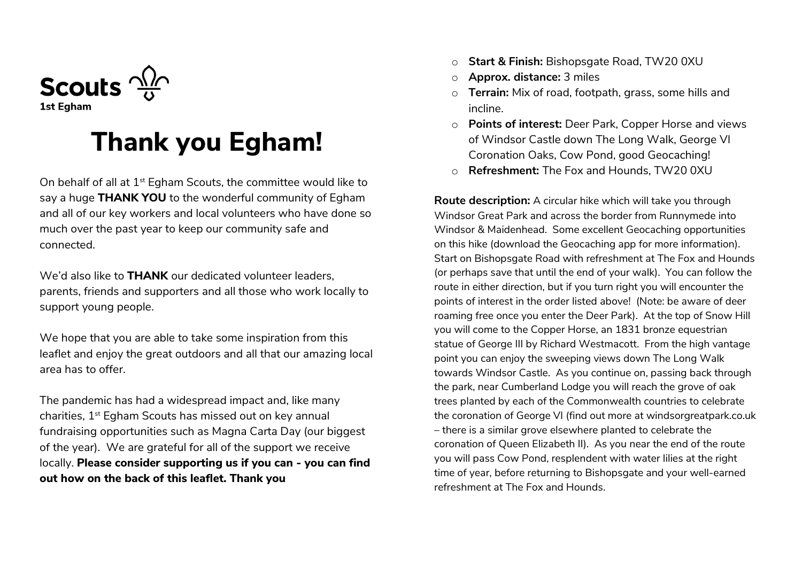

# **Thank you Egham!**

On behalf of all at  $1<sup>st</sup>$  Egham Scouts, the committee would like to say a huge **THANK YOU** to the wonderful community of Egham and all of our key workers and local volunteers who have done so much over the past year to keep our community safe and connected.

We'd also like to **THANK** our dedicated volunteer leaders, parents, friends and supporters and all those who work locally to support young people.

We hope that you are able to take some inspiration from this leaflet and enjoy the great outdoors and all that our amazing local area has to offer.

The pandemic has had a widespread impact and, like many charities, 1<sup>st</sup> Egham Scouts has missed out on key annual fundraising opportunities such as Magna Carta Day (our biggest of the year). We are grateful for all of the support we receive locally. **Please consider supporting us if you can - you can find out how on the back of this leaflet. Thank you**

- o **Start & Finish:** Bishopsgate Road, TW20 0XU
- o **Approx. distance:** 3 miles
- o **Terrain:** Mix of road, footpath, grass, some hills and incline.
- o **Points of interest:** Deer Park, Copper Horse and views of Windsor Castle down The Long Walk, George VI Coronation Oaks, Cow Pond, good Geocaching!
- o **Refreshment:** The Fox and Hounds, TW20 0XU

**Route description:** A circular hike which will take you through Windsor Great Park and across the border from Runnymede into Windsor & Maidenhead. Some excellent Geocaching opportunities on this hike (download the Geocaching app for more information). Start on Bishopsgate Road with refreshment at The Fox and Hounds (or perhaps save that until the end of your walk). You can follow the route in either direction, but if you turn right you will encounter the points of interest in the order listed above! (Note: be aware of deer roaming free once you enter the Deer Park). At the top of Snow Hill you will come to the Copper Horse, an 1831 bronze equestrian statue of George III by Richard Westmacott. From the high vantage point you can enjoy the sweeping views down The Long Walk towards Windsor Castle. As you continue on, passing back through the park, near Cumberland Lodge you will reach the grove of oak trees planted by each of the Commonwealth countries to celebrate the coronation of George VI (find out more at windsorgreatpark.co.uk – there is a similar grove elsewhere planted to celebrate the coronation of Queen Elizabeth II). As you near the end of the route you will pass Cow Pond, resplendent with water lilies at the right time of year, before returning to Bishopsgate and your well-earned refreshment at The Fox and Hounds.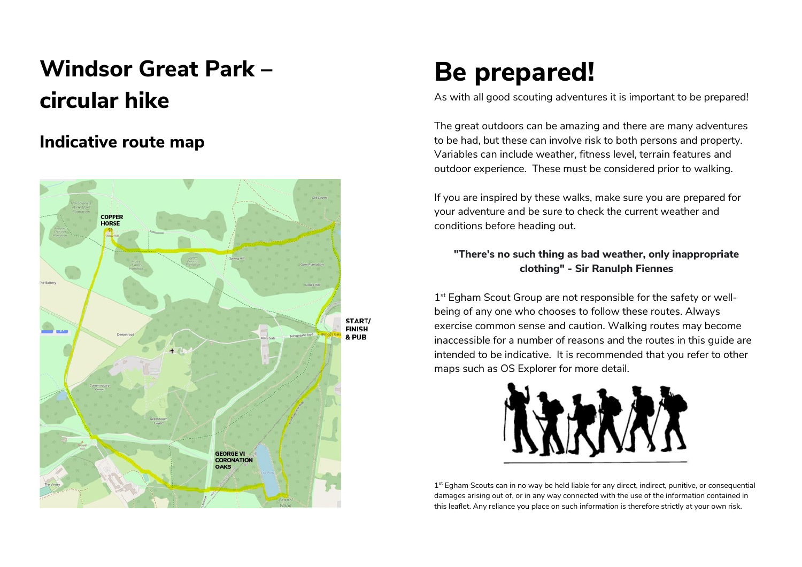# **Windsor Great Park – circular hike**

## **Indicative route map**



# **Be prepared!**

As with all good scouting adventures it is important to be prepared!

The great outdoors can be amazing and there are many adventures to be had, but these can involve risk to both persons and property. Variables can include weather, fitness level, terrain features and outdoor experience. These must be considered prior to walking.

If you are inspired by these walks, make sure you are prepared for your adventure and be sure to check the current weather and conditions before heading out.

#### **"There's no such thing as bad weather, only inappropriate clothing" - Sir Ranulph Fiennes**

1<sup>st</sup> Egham Scout Group are not responsible for the safety or wellbeing of any one who chooses to follow these routes. Always exercise common sense and caution. Walking routes may become inaccessible for a number of reasons and the routes in this guide are intended to be indicative. It is recommended that you refer to other maps such as OS Explorer for more detail.



1<sup>st</sup> Egham Scouts can in no way be held liable for any direct, indirect, punitive, or consequential damages arising out of, or in any way connected with the use of the information contained in this leaflet. Any reliance you place on such information is therefore strictly at your own risk.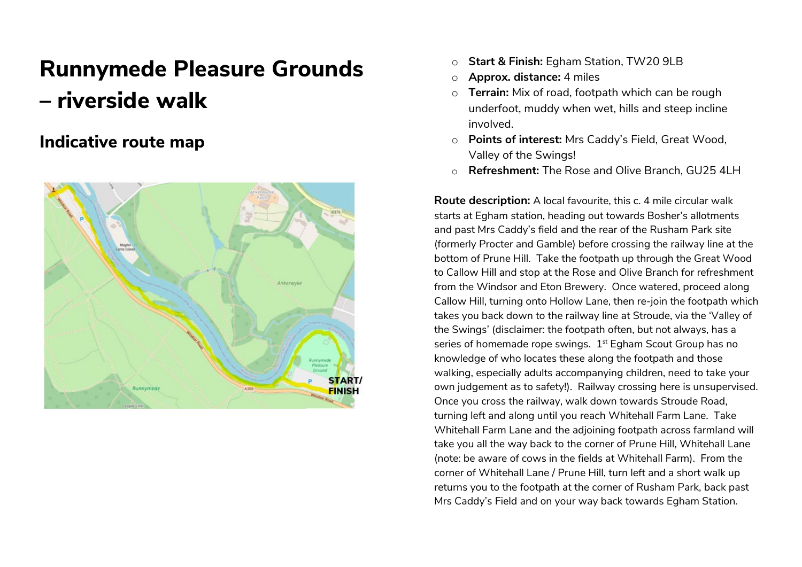## **Runnymede Pleasure Grounds – riverside walk**

### **Indicative route map**



- o **Start & Finish:** Egham Station, TW20 9LB
- o **Approx. distance:** 4 miles
- o **Terrain:** Mix of road, footpath which can be rough underfoot, muddy when wet, hills and steep incline involved.
- o **Points of interest:** Mrs Caddy's Field, Great Wood, Valley of the Swings!
- o **Refreshment:** The Rose and Olive Branch, GU25 4LH

**Route description:** A local favourite, this c. 4 mile circular walk starts at Egham station, heading out towards Bosher's allotments and past Mrs Caddy's field and the rear of the Rusham Park site (formerly Procter and Gamble) before crossing the railway line at the bottom of Prune Hill. Take the footpath up through the Great Wood to Callow Hill and stop at the Rose and Olive Branch for refreshment from the Windsor and Eton Brewery. Once watered, proceed along Callow Hill, turning onto Hollow Lane, then re-join the footpath which takes you back down to the railway line at Stroude, via the 'Valley of the Swings' (disclaimer: the footpath often, but not always, has a series of homemade rope swings. 1<sup>st</sup> Egham Scout Group has no knowledge of who locates these along the footpath and those walking, especially adults accompanying children, need to take your own judgement as to safety!). Railway crossing here is unsupervised. Once you cross the railway, walk down towards Stroude Road, turning left and along until you reach Whitehall Farm Lane. Take Whitehall Farm Lane and the adjoining footpath across farmland will take you all the way back to the corner of Prune Hill, Whitehall Lane (note: be aware of cows in the fields at Whitehall Farm). From the corner of Whitehall Lane / Prune Hill, turn left and a short walk up returns you to the footpath at the corner of Rusham Park, back past Mrs Caddy's Field and on your way back towards Egham Station.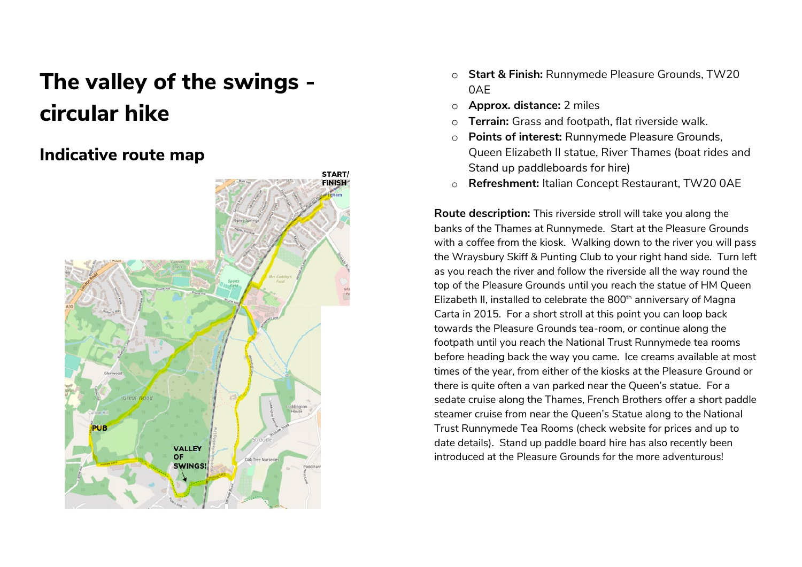# **The valley of the swings circular hike**

## **Indicative route map**



- o **Start & Finish:** Runnymede Pleasure Grounds, TW20 0AE
- o **Approx. distance:** 2 miles
- o **Terrain:** Grass and footpath, flat riverside walk.
- o **Points of interest:** Runnymede Pleasure Grounds, Queen Elizabeth II statue, River Thames (boat rides and Stand up paddleboards for hire)
- o **Refreshment:** Italian Concept Restaurant, TW20 0AE

**Route description:** This riverside stroll will take you along the banks of the Thames at Runnymede. Start at the Pleasure Grounds with a coffee from the kiosk. Walking down to the river you will pass the Wraysbury Skiff & Punting Club to your right hand side. Turn left as you reach the river and follow the riverside all the way round the top of the Pleasure Grounds until you reach the statue of HM Queen Elizabeth II, installed to celebrate the 800<sup>th</sup> anniversary of Magna Carta in 2015. For a short stroll at this point you can loop back towards the Pleasure Grounds tea-room, or continue along the footpath until you reach the National Trust Runnymede tea rooms before heading back the way you came. Ice creams available at most times of the year, from either of the kiosks at the Pleasure Ground or there is quite often a van parked near the Queen's statue. For a sedate cruise along the Thames, French Brothers offer a short paddle steamer cruise from near the Queen's Statue along to the National Trust Runnymede Tea Rooms (check website for prices and up to date details). Stand up paddle board hire has also recently been introduced at the Pleasure Grounds for the more adventurous!